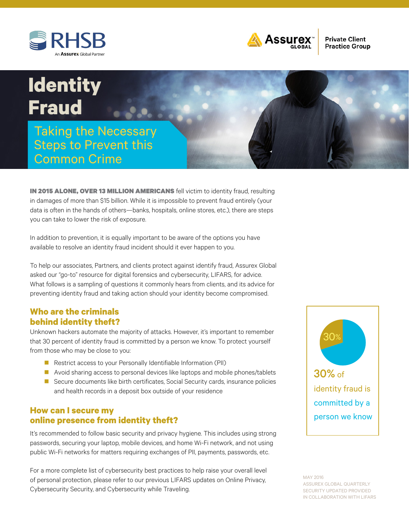



**Private Client Practice Group** 

# **Identity Fraud**

Taking the Necessary Steps to Prevent this Common Crime

IN 2015 ALONE, OVER 13 MILLION AMERICANS fell victim to identity fraud, resulting in damages of more than \$15 billion. While it is impossible to prevent fraud entirely (your data is often in the hands of others—banks, hospitals, online stores, etc.), there are steps you can take to lower the risk of exposure.

In addition to prevention, it is equally important to be aware of the options you have available to resolve an identity fraud incident should it ever happen to you.

To help our associates, Partners, and clients protect against identify fraud, Assurex Global asked our "go-to" resource for digital forensics and cybersecurity, LIFARS, for advice. What follows is a sampling of questions it commonly hears from clients, and its advice for preventing identity fraud and taking action should your identity become compromised.

## **Who are the criminals behind identity theft?**

Unknown hackers automate the majority of attacks. However, it's important to remember that 30 percent of identity fraud is committed by a person we know. To protect yourself from those who may be close to you:

- Restrict access to your Personally Identifiable Information (PII)
- $\blacksquare$  Avoid sharing access to personal devices like laptops and mobile phones/tablets
- Secure documents like birth certificates, Social Security cards, insurance policies and health records in a deposit box outside of your residence

## **How can I secure my online presence from identity theft?**

It's recommended to follow basic security and privacy hygiene. This includes using strong passwords, securing your laptop, mobile devices, and home Wi-Fi network, and not using public Wi-Fi networks for matters requiring exchanges of PII, payments, passwords, etc.

For a more complete list of cybersecurity best practices to help raise your overall level of personal protection, please refer to our previous LIFARS updates on Online Privacy, Cybersecurity Security, and Cybersecurity while Traveling.



MAY 2016 ASSUREX GLOBAL QUARTERLY SECURITY UPDATED PROVIDED IN COLLABORATION WITH LIFARS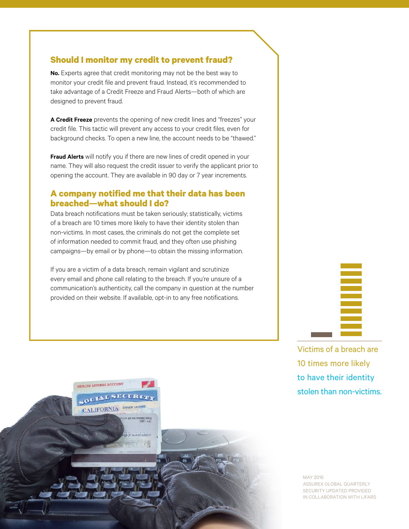## **Should I monitor my credit to prevent fraud?**

**No.** Experts agree that credit monitoring may not be the best way to monitor your credit file and prevent fraud. Instead, it's recommended to take advantage of a Credit Freeze and Fraud Alerts—both of which are designed to prevent fraud.

**A Credit Freeze** prevents the opening of new credit lines and "freezes" your credit file. This tactic will prevent any access to your credit files, even for background checks. To open a new line, the account needs to be "thawed."

**Fraud Alerts** will notify you if there are new lines of credit opened in your name. They will also request the credit issuer to verify the applicant prior to opening the account. They are available in 90 day or 7 year increments.

# **A company notified me that their data has been breached—what should I do?**

Data breach notifications must be taken seriously; statistically, victims of a breach are 10 times more likely to have their identity stolen than non-victims. In most cases, the criminals do not get the complete set of information needed to commit fraud, and they often use phishing campaigns—by email or by phone—to obtain the missing information.

If you are a victim of a data breach, remain vigilant and scrutinize every email and phone call relating to the breach. If you're unsure of a communication's authenticity, call the company in question at the number provided on their website. If available, opt-in to any free notifications.

Victims of a breach are 10 times more likely to have their identity stolen than non-victims.

MAY 2016 ASSUREX GLOBAL QUARTERLY SECURITY UPDATED PROVIDED IN COLLABORATION WITH LIFARS